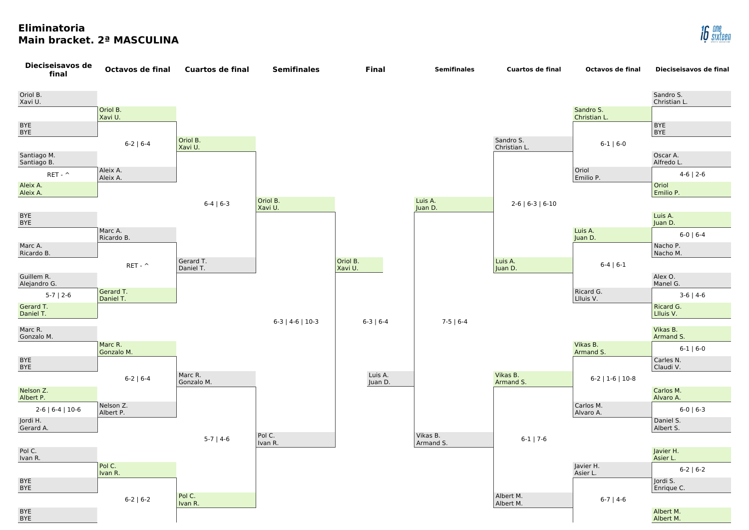## **Eliminatoria Main bracket. 2ª MASCULINA**





|                           | Sandro S.<br>Christian L. |
|---------------------------|---------------------------|
| Sandro S.<br>Christian L. |                           |
|                           | <b>BYE</b><br><b>BYE</b>  |
| $6-1$   $6-0$             |                           |
|                           | Oscar A.<br>Alfredo L.    |
| Oriol<br>Emilio P.        | $4-6$   2-6               |
|                           | Oriol<br>Emilio P.        |
|                           |                           |
|                           | Luis A.<br>Juan D.        |
| Luis A.<br>Juan D.        | $6-0$   $6-4$             |
|                           | Nacho P.<br>Nacho M.      |
| $6-4$   $6-1$             |                           |
|                           | Alex O.<br>Manel G.       |
| Ricard G.<br>Llluis V.    | $3-6$   4-6               |
|                           | Ricard G.<br>Llluis V.    |
|                           | Vikas B.<br>Armand S.     |
| Vikas B.<br>Armand S.     | $6-1$   $6-0$             |
|                           | Carles N.<br>Claudi V.    |
| $6-2$   1-6   10-8        |                           |
|                           | Carlos M.<br>Alvaro A.    |
| Carlos M.<br>Alvaro A.    | $6-0$   $6-3$             |
|                           | Daniel S.<br>Albert S.    |
|                           |                           |
|                           | Javier H.<br>Asier L.     |
| Javier H.<br>Asier L.     | $6-2$   $6-2$             |
|                           | Jordi S.<br>Enrique C.    |
| $6-7$   4-6               |                           |
|                           | Albert M.<br>Albert M.    |